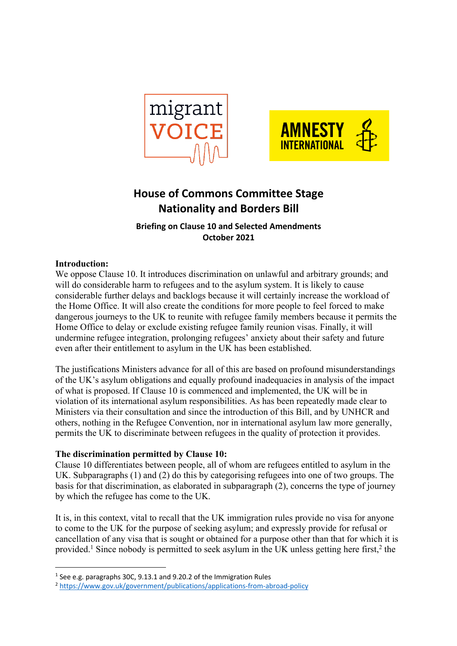



# **House of Commons Committee Stage Nationality and Borders Bill**

**Briefing on Clause 10 and Selected Amendments October 2021**

## **Introduction:**

We oppose Clause 10. It introduces discrimination on unlawful and arbitrary grounds; and will do considerable harm to refugees and to the asylum system. It is likely to cause considerable further delays and backlogs because it will certainly increase the workload of the Home Office. It will also create the conditions for more people to feel forced to make dangerous journeys to the UK to reunite with refugee family members because it permits the Home Office to delay or exclude existing refugee family reunion visas. Finally, it will undermine refugee integration, prolonging refugees' anxiety about their safety and future even after their entitlement to asylum in the UK has been established.

The justifications Ministers advance for all of this are based on profound misunderstandings of the UK's asylum obligations and equally profound inadequacies in analysis of the impact of what is proposed. If Clause 10 is commenced and implemented, the UK will be in violation of its international asylum responsibilities. As has been repeatedly made clear to Ministers via their consultation and since the introduction of this Bill, and by UNHCR and others, nothing in the Refugee Convention, nor in international asylum law more generally, permits the UK to discriminate between refugees in the quality of protection it provides.

#### **The discrimination permitted by Clause 10:**

Clause 10 differentiates between people, all of whom are refugees entitled to asylum in the UK. Subparagraphs (1) and (2) do this by categorising refugees into one of two groups. The basis for that discrimination, as elaborated in subparagraph (2), concerns the type of journey by which the refugee has come to the UK.

It is, in this context, vital to recall that the UK immigration rules provide no visa for anyone to come to the UK for the purpose of seeking asylum; and expressly provide for refusal or cancellation of any visa that is sought or obtained for a purpose other than that for which it is provided.<sup>1</sup> Since nobody is permitted to seek asylum in the UK unless getting here first,<sup>2</sup> the

<sup>1</sup> See e.g. paragraphs 30C, 9.13.1 and 9.20.2 of the Immigration Rules

<sup>2</sup> https://www.gov.uk/government/publications/applications-from-abroad-policy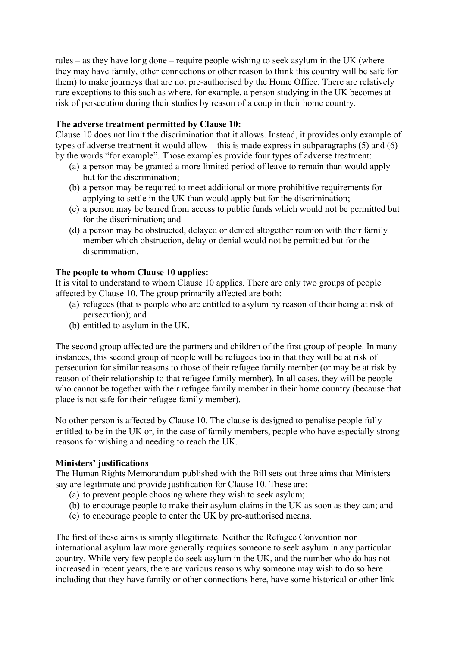rules – as they have long done – require people wishing to seek asylum in the UK (where they may have family, other connections or other reason to think this country will be safe for them) to make journeys that are not pre-authorised by the Home Office. There are relatively rare exceptions to this such as where, for example, a person studying in the UK becomes at risk of persecution during their studies by reason of a coup in their home country.

### **The adverse treatment permitted by Clause 10:**

Clause 10 does not limit the discrimination that it allows. Instead, it provides only example of types of adverse treatment it would allow – this is made express in subparagraphs (5) and (6) by the words "for example". Those examples provide four types of adverse treatment:

- (a) a person may be granted a more limited period of leave to remain than would apply but for the discrimination;
- (b) a person may be required to meet additional or more prohibitive requirements for applying to settle in the UK than would apply but for the discrimination;
- (c) a person may be barred from access to public funds which would not be permitted but for the discrimination; and
- (d) a person may be obstructed, delayed or denied altogether reunion with their family member which obstruction, delay or denial would not be permitted but for the discrimination.

## **The people to whom Clause 10 applies:**

It is vital to understand to whom Clause 10 applies. There are only two groups of people affected by Clause 10. The group primarily affected are both:

- (a) refugees (that is people who are entitled to asylum by reason of their being at risk of persecution); and
- (b) entitled to asylum in the UK.

The second group affected are the partners and children of the first group of people. In many instances, this second group of people will be refugees too in that they will be at risk of persecution for similar reasons to those of their refugee family member (or may be at risk by reason of their relationship to that refugee family member). In all cases, they will be people who cannot be together with their refugee family member in their home country (because that place is not safe for their refugee family member).

No other person is affected by Clause 10. The clause is designed to penalise people fully entitled to be in the UK or, in the case of family members, people who have especially strong reasons for wishing and needing to reach the UK.

## **Ministers' justifications**

The Human Rights Memorandum published with the Bill sets out three aims that Ministers say are legitimate and provide justification for Clause 10. These are:

- (a) to prevent people choosing where they wish to seek asylum;
- (b) to encourage people to make their asylum claims in the UK as soon as they can; and
- (c) to encourage people to enter the UK by pre-authorised means.

The first of these aims is simply illegitimate. Neither the Refugee Convention nor international asylum law more generally requires someone to seek asylum in any particular country. While very few people do seek asylum in the UK, and the number who do has not increased in recent years, there are various reasons why someone may wish to do so here including that they have family or other connections here, have some historical or other link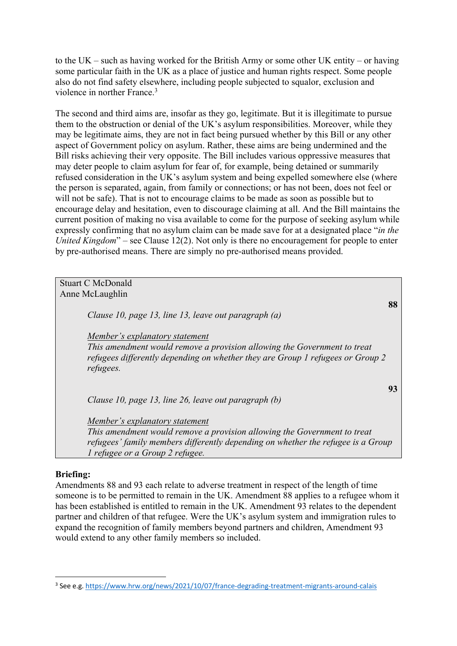to the UK – such as having worked for the British Army or some other UK entity – or having some particular faith in the UK as a place of justice and human rights respect. Some people also do not find safety elsewhere, including people subjected to squalor, exclusion and violence in norther France.3

The second and third aims are, insofar as they go, legitimate. But it is illegitimate to pursue them to the obstruction or denial of the UK's asylum responsibilities. Moreover, while they may be legitimate aims, they are not in fact being pursued whether by this Bill or any other aspect of Government policy on asylum. Rather, these aims are being undermined and the Bill risks achieving their very opposite. The Bill includes various oppressive measures that may deter people to claim asylum for fear of, for example, being detained or summarily refused consideration in the UK's asylum system and being expelled somewhere else (where the person is separated, again, from family or connections; or has not been, does not feel or will not be safe). That is not to encourage claims to be made as soon as possible but to encourage delay and hesitation, even to discourage claiming at all. And the Bill maintains the current position of making no visa available to come for the purpose of seeking asylum while expressly confirming that no asylum claim can be made save for at a designated place "*in the United Kingdom*" – see Clause 12(2). Not only is there no encouragement for people to enter by pre-authorised means. There are simply no pre-authorised means provided.

| <b>Stuart C McDonald</b>                                                                                                                                                                                                          |    |
|-----------------------------------------------------------------------------------------------------------------------------------------------------------------------------------------------------------------------------------|----|
| Anne McLaughlin                                                                                                                                                                                                                   |    |
| Clause 10, page 13, line 13, leave out paragraph (a)                                                                                                                                                                              | 88 |
| Member's explanatory statement<br>This amendment would remove a provision allowing the Government to treat<br>refugees differently depending on whether they are Group 1 refugees or Group 2<br>refugees.                         |    |
| Clause 10, page 13, line 26, leave out paragraph (b)                                                                                                                                                                              | 93 |
| Member's explanatory statement<br>This amendment would remove a provision allowing the Government to treat<br>refugees' family members differently depending on whether the refugee is a Group<br>1 refugee or a Group 2 refugee. |    |

#### **Briefing:**

Amendments 88 and 93 each relate to adverse treatment in respect of the length of time someone is to be permitted to remain in the UK. Amendment 88 applies to a refugee whom it has been established is entitled to remain in the UK. Amendment 93 relates to the dependent partner and children of that refugee. Were the UK's asylum system and immigration rules to expand the recognition of family members beyond partners and children, Amendment 93 would extend to any other family members so included.

<sup>3</sup> See e.g. https://www.hrw.org/news/2021/10/07/france-degrading-treatment-migrants-around-calais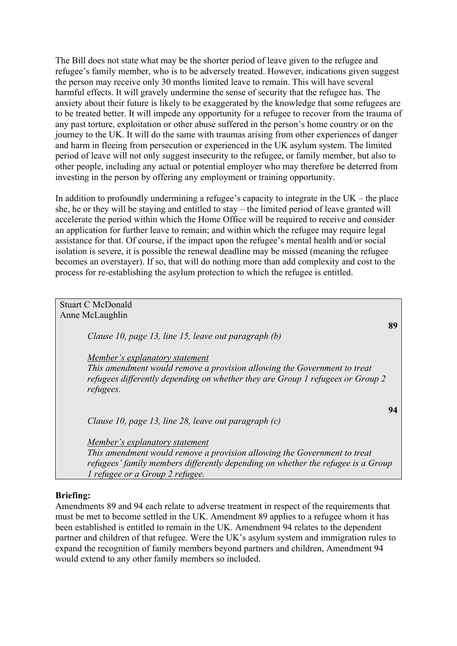The Bill does not state what may be the shorter period of leave given to the refugee and refugee's family member, who is to be adversely treated. However, indications given suggest the person may receive only 30 months limited leave to remain. This will have several harmful effects. It will gravely undermine the sense of security that the refugee has. The anxiety about their future is likely to be exaggerated by the knowledge that some refugees are to be treated better. It will impede any opportunity for a refugee to recover from the trauma of any past torture, exploitation or other abuse suffered in the person's home country or on the journey to the UK. It will do the same with traumas arising from other experiences of danger and harm in fleeing from persecution or experienced in the UK asylum system. The limited period of leave will not only suggest insecurity to the refugee, or family member, but also to other people, including any actual or potential employer who may therefore be deterred from investing in the person by offering any employment or training opportunity.

In addition to profoundly undermining a refugee's capacity to integrate in the  $UK$  – the place she, he or they will be staying and entitled to stay – the limited period of leave granted will accelerate the period within which the Home Office will be required to receive and consider an application for further leave to remain; and within which the refugee may require legal assistance for that. Of course, if the impact upon the refugee's mental health and/or social isolation is severe, it is possible the renewal deadline may be missed (meaning the refugee becomes an overstayer). If so, that will do nothing more than add complexity and cost to the process for re-establishing the asylum protection to which the refugee is entitled.

| <b>Stuart C McDonald</b>                                                                                                                                                                                                          |    |
|-----------------------------------------------------------------------------------------------------------------------------------------------------------------------------------------------------------------------------------|----|
| Anne McLaughlin                                                                                                                                                                                                                   |    |
| Clause 10, page 13, line 15, leave out paragraph (b)                                                                                                                                                                              | 89 |
| Member's explanatory statement<br>This amendment would remove a provision allowing the Government to treat<br>refugees differently depending on whether they are Group 1 refugees or Group 2                                      |    |
| refugees.<br>94<br>Clause 10, page 13, line 28, leave out paragraph $(c)$                                                                                                                                                         |    |
| Member's explanatory statement<br>This amendment would remove a provision allowing the Government to treat<br>refugees' family members differently depending on whether the refugee is a Group<br>1 refugee or a Group 2 refugee. |    |

#### **Briefing:**

Amendments 89 and 94 each relate to adverse treatment in respect of the requirements that must be met to become settled in the UK. Amendment 89 applies to a refugee whom it has been established is entitled to remain in the UK. Amendment 94 relates to the dependent partner and children of that refugee. Were the UK's asylum system and immigration rules to expand the recognition of family members beyond partners and children, Amendment 94 would extend to any other family members so included.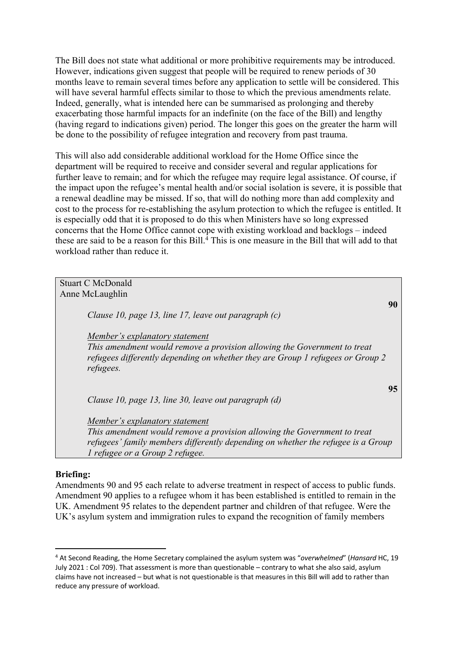The Bill does not state what additional or more prohibitive requirements may be introduced. However, indications given suggest that people will be required to renew periods of 30 months leave to remain several times before any application to settle will be considered. This will have several harmful effects similar to those to which the previous amendments relate. Indeed, generally, what is intended here can be summarised as prolonging and thereby exacerbating those harmful impacts for an indefinite (on the face of the Bill) and lengthy (having regard to indications given) period. The longer this goes on the greater the harm will be done to the possibility of refugee integration and recovery from past trauma.

This will also add considerable additional workload for the Home Office since the department will be required to receive and consider several and regular applications for further leave to remain; and for which the refugee may require legal assistance. Of course, if the impact upon the refugee's mental health and/or social isolation is severe, it is possible that a renewal deadline may be missed. If so, that will do nothing more than add complexity and cost to the process for re-establishing the asylum protection to which the refugee is entitled. It is especially odd that it is proposed to do this when Ministers have so long expressed concerns that the Home Office cannot cope with existing workload and backlogs – indeed these are said to be a reason for this Bill. $\frac{4}{3}$  This is one measure in the Bill that will add to that workload rather than reduce it.

| <b>Stuart C McDonald</b>                                                                                                                                                                                                          |    |
|-----------------------------------------------------------------------------------------------------------------------------------------------------------------------------------------------------------------------------------|----|
| Anne McLaughlin                                                                                                                                                                                                                   |    |
| Clause 10, page 13, line 17, leave out paragraph $(c)$                                                                                                                                                                            | 90 |
| Member's explanatory statement<br>This amendment would remove a provision allowing the Government to treat<br>refugees differently depending on whether they are Group 1 refugees or Group 2<br>refugees.                         |    |
| Clause 10, page 13, line 30, leave out paragraph (d)                                                                                                                                                                              | 95 |
| Member's explanatory statement<br>This amendment would remove a provision allowing the Government to treat<br>refugees' family members differently depending on whether the refugee is a Group<br>1 refugee or a Group 2 refugee. |    |

#### **Briefing:**

Amendments 90 and 95 each relate to adverse treatment in respect of access to public funds. Amendment 90 applies to a refugee whom it has been established is entitled to remain in the UK. Amendment 95 relates to the dependent partner and children of that refugee. Were the UK's asylum system and immigration rules to expand the recognition of family members

<sup>4</sup> At Second Reading, the Home Secretary complained the asylum system was "*overwhelmed*" (*Hansard* HC, 19 July 2021 : Col 709). That assessment is more than questionable – contrary to what she also said, asylum claims have not increased – but what is not questionable is that measures in this Bill will add to rather than reduce any pressure of workload.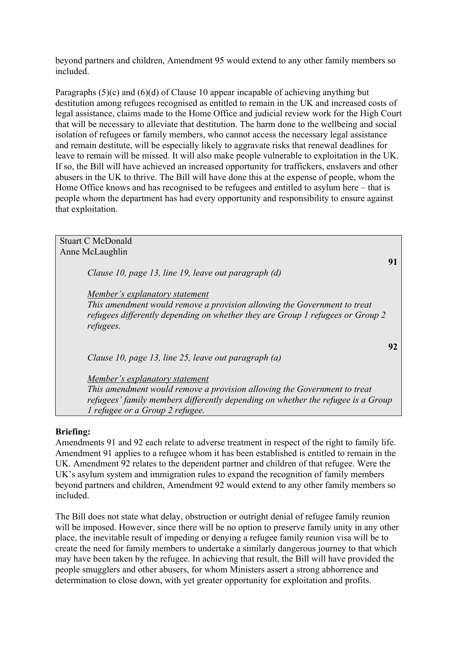beyond partners and children, Amendment 95 would extend to any other family members so included.

Paragraphs (5)(c) and (6)(d) of Clause 10 appear incapable of achieving anything but destitution among refugees recognised as entitled to remain in the UK and increased costs of legal assistance, claims made to the Home Office and judicial review work for the High Court that will be necessary to alleviate that destitution. The harm done to the wellbeing and social isolation of refugees or family members, who cannot access the necessary legal assistance and remain destitute, will be especially likely to aggravate risks that renewal deadlines for leave to remain will be missed. It will also make people vulnerable to exploitation in the UK. If so, the Bill will have achieved an increased opportunity for traffickers, enslavers and other abusers in the UK to thrive. The Bill will have done this at the expense of people, whom the Home Office knows and has recognised to be refugees and entitled to asylum here – that is people whom the department has had every opportunity and responsibility to ensure against that exploitation.

| <b>Stuart C McDonald</b>                                                                                                                                                                                                          |  |
|-----------------------------------------------------------------------------------------------------------------------------------------------------------------------------------------------------------------------------------|--|
| Anne McLaughlin                                                                                                                                                                                                                   |  |
| 91<br>Clause 10, page 13, line 19, leave out paragraph (d)                                                                                                                                                                        |  |
| <u>Member's explanatory statement</u><br>This amendment would remove a provision allowing the Government to treat<br>refugees differently depending on whether they are Group 1 refugees or Group 2<br>refugees.                  |  |
| 92<br>Clause 10, page 13, line 25, leave out paragraph $(a)$                                                                                                                                                                      |  |
| Member's explanatory statement<br>This amendment would remove a provision allowing the Government to treat<br>refugees' family members differently depending on whether the refugee is a Group<br>1 refugee or a Group 2 refugee. |  |

#### **Briefing:**

Amendments 91 and 92 each relate to adverse treatment in respect of the right to family life. Amendment 91 applies to a refugee whom it has been established is entitled to remain in the UK. Amendment 92 relates to the dependent partner and children of that refugee. Were the UK's asylum system and immigration rules to expand the recognition of family members beyond partners and children, Amendment 92 would extend to any other family members so included.

The Bill does not state what delay, obstruction or outright denial of refugee family reunion will be imposed. However, since there will be no option to preserve family unity in any other place, the inevitable result of impeding or denying a refugee family reunion visa will be to create the need for family members to undertake a similarly dangerous journey to that which may have been taken by the refugee. In achieving that result, the Bill will have provided the people smugglers and other abusers, for whom Ministers assert a strong abhorrence and determination to close down, with yet greater opportunity for exploitation and profits.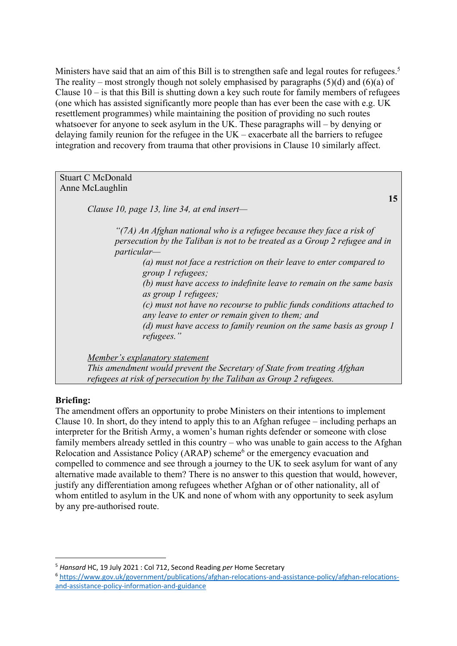Ministers have said that an aim of this Bill is to strengthen safe and legal routes for refugees.<sup>5</sup> The reality – most strongly though not solely emphasised by paragraphs  $(5)(d)$  and  $(6)(a)$  of Clause  $10 -$  is that this Bill is shutting down a key such route for family members of refugees (one which has assisted significantly more people than has ever been the case with e.g. UK resettlement programmes) while maintaining the position of providing no such routes whatsoever for anyone to seek asylum in the UK. These paragraphs will – by denying or delaying family reunion for the refugee in the UK – exacerbate all the barriers to refugee integration and recovery from trauma that other provisions in Clause 10 similarly affect.

#### Stuart C McDonald Anne McLaughlin

*Clause 10, page 13, line 34, at end insert—*

*"(7A) An Afghan national who is a refugee because they face a risk of persecution by the Taliban is not to be treated as a Group 2 refugee and in particular—*

*(a) must not face a restriction on their leave to enter compared to group 1 refugees;* 

*(b) must have access to indefinite leave to remain on the same basis as group 1 refugees;* 

**15**

*(c) must not have no recourse to public funds conditions attached to any leave to enter or remain given to them; and* 

*(d) must have access to family reunion on the same basis as group 1 refugees."* 

*Member's explanatory statement* 

*This amendment would prevent the Secretary of State from treating Afghan refugees at risk of persecution by the Taliban as Group 2 refugees.* 

#### **Briefing:**

The amendment offers an opportunity to probe Ministers on their intentions to implement Clause 10. In short, do they intend to apply this to an Afghan refugee – including perhaps an interpreter for the British Army, a women's human rights defender or someone with close family members already settled in this country – who was unable to gain access to the Afghan Relocation and Assistance Policy (ARAP) scheme<sup>6</sup> or the emergency evacuation and compelled to commence and see through a journey to the UK to seek asylum for want of any alternative made available to them? There is no answer to this question that would, however, justify any differentiation among refugees whether Afghan or of other nationality, all of whom entitled to asylum in the UK and none of whom with any opportunity to seek asylum by any pre-authorised route.

<sup>5</sup> *Hansard* HC, 19 July 2021 : Col 712, Second Reading *per* Home Secretary

<sup>6</sup> https://www.gov.uk/government/publications/afghan-relocations-and-assistance-policy/afghan-relocationsand-assistance-policy-information-and-guidance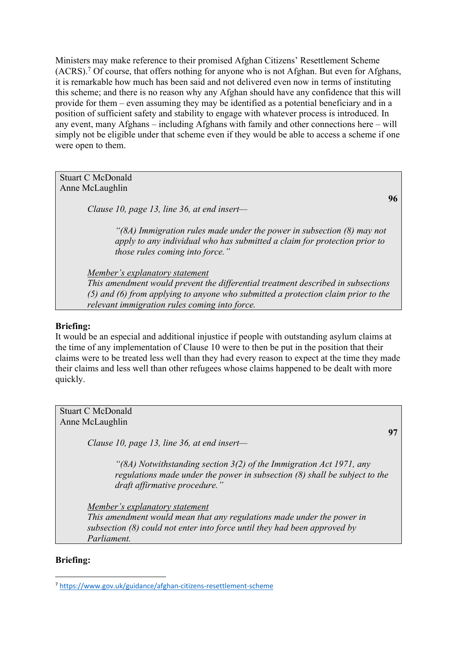Ministers may make reference to their promised Afghan Citizens' Resettlement Scheme (ACRS).7 Of course, that offers nothing for anyone who is not Afghan. But even for Afghans, it is remarkable how much has been said and not delivered even now in terms of instituting this scheme; and there is no reason why any Afghan should have any confidence that this will provide for them – even assuming they may be identified as a potential beneficiary and in a position of sufficient safety and stability to engage with whatever process is introduced. In any event, many Afghans – including Afghans with family and other connections here – will simply not be eligible under that scheme even if they would be able to access a scheme if one were open to them.

Stuart C McDonald Anne McLaughlin

*Clause 10, page 13, line 36, at end insert—*

*"(8A) Immigration rules made under the power in subsection (8) may not apply to any individual who has submitted a claim for protection prior to those rules coming into force."* 

*Member's explanatory statement This amendment would prevent the differential treatment described in subsections (5) and (6) from applying to anyone who submitted a protection claim prior to the relevant immigration rules coming into force.* 

## **Briefing:**

It would be an especial and additional injustice if people with outstanding asylum claims at the time of any implementation of Clause 10 were to then be put in the position that their claims were to be treated less well than they had every reason to expect at the time they made their claims and less well than other refugees whose claims happened to be dealt with more quickly.

Stuart C McDonald Anne McLaughlin

*Clause 10, page 13, line 36, at end insert—*

*"(8A) Notwithstanding section 3(2) of the Immigration Act 1971, any regulations made under the power in subsection (8) shall be subject to the draft affirmative procedure."* 

*Member's explanatory statement* 

*This amendment would mean that any regulations made under the power in subsection (8) could not enter into force until they had been approved by Parliament.* 

## **Briefing:**

**96**

**97**

<sup>7</sup> https://www.gov.uk/guidance/afghan-citizens-resettlement-scheme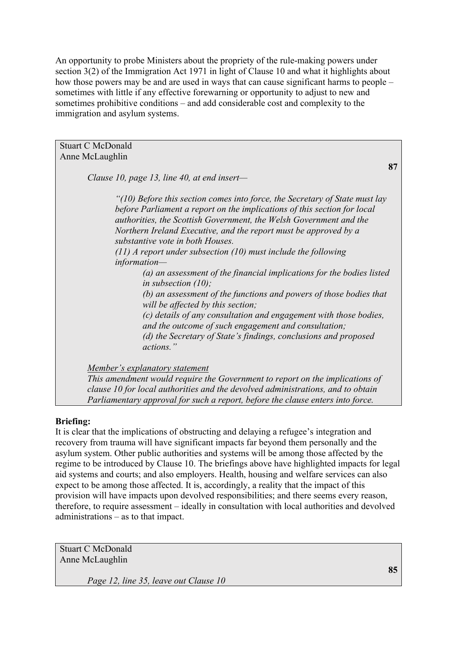An opportunity to probe Ministers about the propriety of the rule-making powers under section 3(2) of the Immigration Act 1971 in light of Clause 10 and what it highlights about how those powers may be and are used in ways that can cause significant harms to people – sometimes with little if any effective forewarning or opportunity to adjust to new and sometimes prohibitive conditions – and add considerable cost and complexity to the immigration and asylum systems.

| <b>Stuart C McDonald</b>                                                                                                                                                                                                                                                                                                                                                                                                                                                                                                                                                                                                                                                                                                                                                                                                                               |
|--------------------------------------------------------------------------------------------------------------------------------------------------------------------------------------------------------------------------------------------------------------------------------------------------------------------------------------------------------------------------------------------------------------------------------------------------------------------------------------------------------------------------------------------------------------------------------------------------------------------------------------------------------------------------------------------------------------------------------------------------------------------------------------------------------------------------------------------------------|
| Anne McLaughlin                                                                                                                                                                                                                                                                                                                                                                                                                                                                                                                                                                                                                                                                                                                                                                                                                                        |
| 87                                                                                                                                                                                                                                                                                                                                                                                                                                                                                                                                                                                                                                                                                                                                                                                                                                                     |
| Clause 10, page 13, line 40, at end insert-                                                                                                                                                                                                                                                                                                                                                                                                                                                                                                                                                                                                                                                                                                                                                                                                            |
| "(10) Before this section comes into force, the Secretary of State must lay<br>before Parliament a report on the implications of this section for local<br>authorities, the Scottish Government, the Welsh Government and the<br>Northern Ireland Executive, and the report must be approved by a<br>substantive vote in both Houses.<br>$(11)$ A report under subsection (10) must include the following<br>$information-$<br>(a) an assessment of the financial implications for the bodies listed<br>in subsection $(10)$ ;<br>(b) an assessment of the functions and powers of those bodies that<br>will be affected by this section;<br>(c) details of any consultation and engagement with those bodies,<br>and the outcome of such engagement and consultation;<br>(d) the Secretary of State's findings, conclusions and proposed<br>actions." |
|                                                                                                                                                                                                                                                                                                                                                                                                                                                                                                                                                                                                                                                                                                                                                                                                                                                        |
| Member's explanatory statement                                                                                                                                                                                                                                                                                                                                                                                                                                                                                                                                                                                                                                                                                                                                                                                                                         |
| This amendment would require the Government to report on the implications of                                                                                                                                                                                                                                                                                                                                                                                                                                                                                                                                                                                                                                                                                                                                                                           |
| clause 10 for local authorities and the devolved administrations, and to obtain                                                                                                                                                                                                                                                                                                                                                                                                                                                                                                                                                                                                                                                                                                                                                                        |
| Parliamentary approval for such a report, before the clause enters into force.                                                                                                                                                                                                                                                                                                                                                                                                                                                                                                                                                                                                                                                                                                                                                                         |

## **Briefing:**

It is clear that the implications of obstructing and delaying a refugee's integration and recovery from trauma will have significant impacts far beyond them personally and the asylum system. Other public authorities and systems will be among those affected by the regime to be introduced by Clause 10. The briefings above have highlighted impacts for legal aid systems and courts; and also employers. Health, housing and welfare services can also expect to be among those affected. It is, accordingly, a reality that the impact of this provision will have impacts upon devolved responsibilities; and there seems every reason, therefore, to require assessment – ideally in consultation with local authorities and devolved administrations – as to that impact.

Stuart C McDonald Anne McLaughlin

*Page 12, line 35, leave out Clause 10*